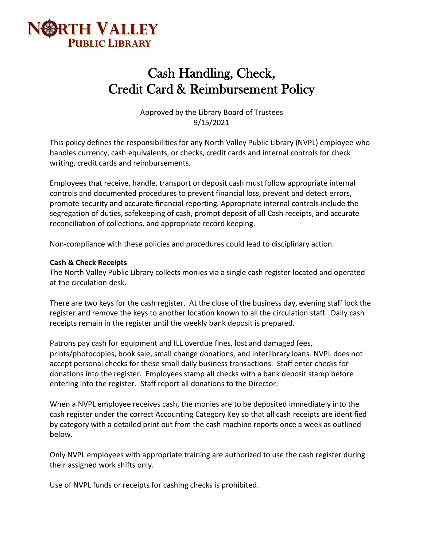

# Cash Handling, Check, Credit Card & Reimbursement Policy

Approved by the Library Board of Trustees 9/15/2021

This policy defines the responsibilities for any North Valley Public Library (NVPL) employee who handles currency, cash equivalents, or checks, credit cards and internal controls for check writing, credit cards and reimbursements.

Employees that receive, handle, transport or deposit cash must follow appropriate internal controls and documented procedures to prevent financial loss, prevent and detect errors, promote security and accurate financial reporting. Appropriate internal controls include the segregation of duties, safekeeping of cash, prompt deposit of all Cash receipts, and accurate reconciliation of collections, and appropriate record keeping.

Non-compliance with these policies and procedures could lead to disciplinary action.

#### **Cash & Check Receipts**

The North Valley Public Library collects monies via a single cash register located and operated at the circulation desk.

There are two keys for the cash register. At the close of the business day, evening staff lock the register and remove the keys to another location known to all the circulation staff. Daily cash receipts remain in the register until the weekly bank deposit is prepared.

Patrons pay cash for equipment and ILL overdue fines, lost and damaged fees, prints/photocopies, book sale, small change donations, and interlibrary loans. NVPL does not accept personal checks for these small daily business transactions. Staff enter checks for donations into the register. Employees stamp all checks with a bank deposit stamp before entering into the register. Staff report all donations to the Director.

When a NVPL employee receives cash, the monies are to be deposited immediately into the cash register under the correct Accounting Category Key so that all cash receipts are identified by category with a detailed print out from the cash machine reports once a week as outlined below.

Only NVPL employees with appropriate training are authorized to use the cash register during their assigned work shifts only.

Use of NVPL funds or receipts for cashing checks is prohibited.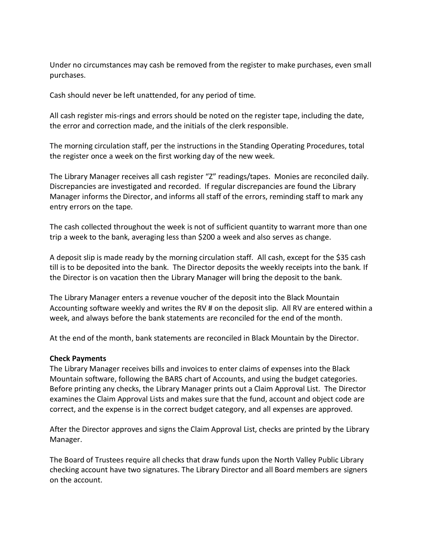Under no circumstances may cash be removed from the register to make purchases, even small purchases.

Cash should never be left unattended, for any period of time.

All cash register mis-rings and errors should be noted on the register tape, including the date, the error and correction made, and the initials of the clerk responsible.

The morning circulation staff, per the instructions in the Standing Operating Procedures, total the register once a week on the first working day of the new week.

The Library Manager receives all cash register "Z" readings/tapes. Monies are reconciled daily. Discrepancies are investigated and recorded. If regular discrepancies are found the Library Manager informs the Director, and informs all staff of the errors, reminding staff to mark any entry errors on the tape.

The cash collected throughout the week is not of sufficient quantity to warrant more than one trip a week to the bank, averaging less than \$200 a week and also serves as change.

A deposit slip is made ready by the morning circulation staff. All cash, except for the \$35 cash till is to be deposited into the bank. The Director deposits the weekly receipts into the bank. If the Director is on vacation then the Library Manager will bring the deposit to the bank.

The Library Manager enters a revenue voucher of the deposit into the Black Mountain Accounting software weekly and writes the RV # on the deposit slip. All RV are entered within a week, and always before the bank statements are reconciled for the end of the month.

At the end of the month, bank statements are reconciled in Black Mountain by the Director.

#### **Check Payments**

The Library Manager receives bills and invoices to enter claims of expenses into the Black Mountain software, following the BARS chart of Accounts, and using the budget categories. Before printing any checks, the Library Manager prints out a Claim Approval List. The Director examines the Claim Approval Lists and makes sure that the fund, account and object code are correct, and the expense is in the correct budget category, and all expenses are approved.

After the Director approves and signs the Claim Approval List, checks are printed by the Library Manager.

The Board of Trustees require all checks that draw funds upon the North Valley Public Library checking account have two signatures. The Library Director and all Board members are signers on the account.